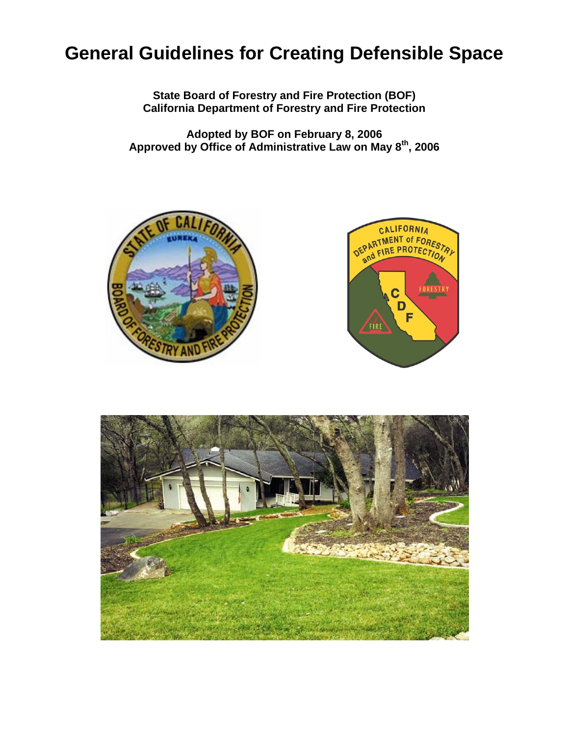# **General Guidelines for Creating Defensible Space**

**State Board of Forestry and Fire Protection (BOF) California Department of Forestry and Fire Protection** 

**Adopted by BOF on February 8, 2006 Approved by Office of Administrative Law on May 8th, 2006** 





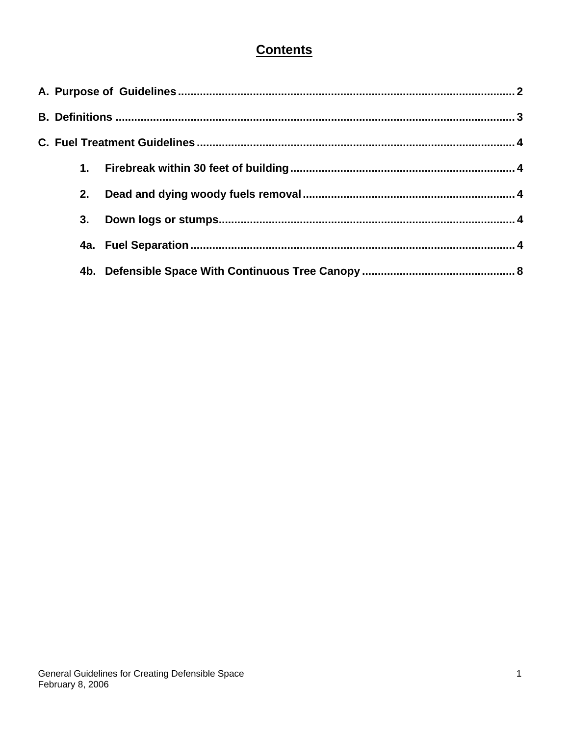# **Contents**

| 2. |  |  |  |
|----|--|--|--|
| 3. |  |  |  |
|    |  |  |  |
|    |  |  |  |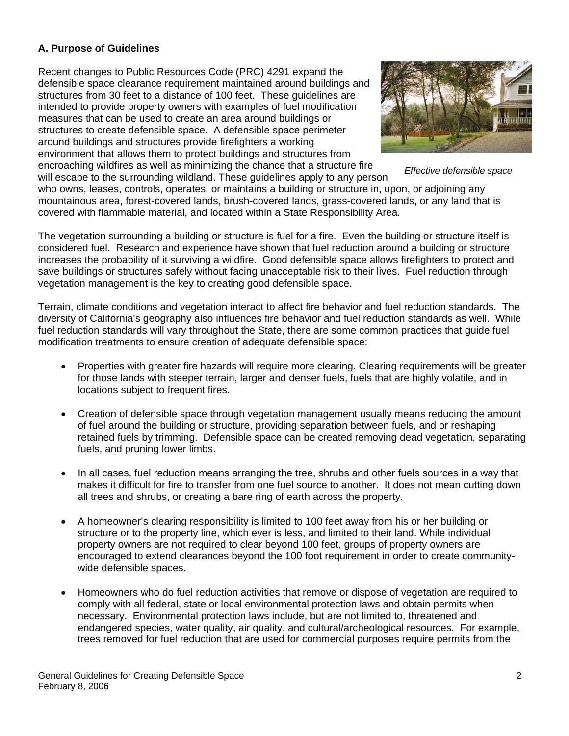#### **A. Purpose of Guidelines**

Recent changes to Public Resources Code (PRC) 4291 expand the defensible space clearance requirement maintained around buildings and structures from 30 feet to a distance of 100 feet. These guidelines are intended to provide property owners with examples of fuel modification measures that can be used to create an area around buildings or structures to create defensible space. A defensible space perimeter around buildings and structures provide firefighters a working environment that allows them to protect buildings and structures from encroaching wildfires as well as minimizing the chance that a structure fire will escape to the surrounding wildland. These guidelines apply to any person



*Effective defensible space* 

who owns, leases, controls, operates, or maintains a building or structure in, upon, or adjoining any mountainous area, forest-covered lands, brush-covered lands, grass-covered lands, or any land that is covered with flammable material, and located within a State Responsibility Area.

The vegetation surrounding a building or structure is fuel for a fire. Even the building or structure itself is considered fuel. Research and experience have shown that fuel reduction around a building or structure increases the probability of it surviving a wildfire. Good defensible space allows firefighters to protect and save buildings or structures safely without facing unacceptable risk to their lives. Fuel reduction through vegetation management is the key to creating good defensible space.

Terrain, climate conditions and vegetation interact to affect fire behavior and fuel reduction standards. The diversity of California's geography also influences fire behavior and fuel reduction standards as well. While fuel reduction standards will vary throughout the State, there are some common practices that guide fuel modification treatments to ensure creation of adequate defensible space:

- Properties with greater fire hazards will require more clearing. Clearing requirements will be greater for those lands with steeper terrain, larger and denser fuels, fuels that are highly volatile, and in locations subject to frequent fires.
- Creation of defensible space through vegetation management usually means reducing the amount of fuel around the building or structure, providing separation between fuels, and or reshaping retained fuels by trimming. Defensible space can be created removing dead vegetation, separating fuels, and pruning lower limbs.
- In all cases, fuel reduction means arranging the tree, shrubs and other fuels sources in a way that makes it difficult for fire to transfer from one fuel source to another. It does not mean cutting down all trees and shrubs, or creating a bare ring of earth across the property.
- A homeowner's clearing responsibility is limited to 100 feet away from his or her building or structure or to the property line, which ever is less, and limited to their land. While individual property owners are not required to clear beyond 100 feet, groups of property owners are encouraged to extend clearances beyond the 100 foot requirement in order to create communitywide defensible spaces.
- Homeowners who do fuel reduction activities that remove or dispose of vegetation are required to comply with all federal, state or local environmental protection laws and obtain permits when necessary. Environmental protection laws include, but are not limited to, threatened and endangered species, water quality, air quality, and cultural/archeological resources. For example, trees removed for fuel reduction that are used for commercial purposes require permits from the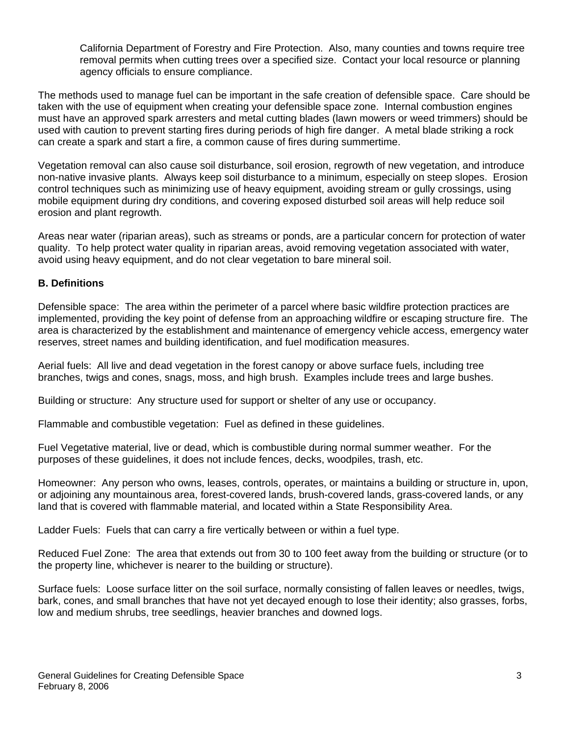California Department of Forestry and Fire Protection. Also, many counties and towns require tree removal permits when cutting trees over a specified size. Contact your local resource or planning agency officials to ensure compliance.

The methods used to manage fuel can be important in the safe creation of defensible space. Care should be taken with the use of equipment when creating your defensible space zone. Internal combustion engines must have an approved spark arresters and metal cutting blades (lawn mowers or weed trimmers) should be used with caution to prevent starting fires during periods of high fire danger. A metal blade striking a rock can create a spark and start a fire, a common cause of fires during summertime.

Vegetation removal can also cause soil disturbance, soil erosion, regrowth of new vegetation, and introduce non-native invasive plants. Always keep soil disturbance to a minimum, especially on steep slopes. Erosion control techniques such as minimizing use of heavy equipment, avoiding stream or gully crossings, using mobile equipment during dry conditions, and covering exposed disturbed soil areas will help reduce soil erosion and plant regrowth.

Areas near water (riparian areas), such as streams or ponds, are a particular concern for protection of water quality. To help protect water quality in riparian areas, avoid removing vegetation associated with water, avoid using heavy equipment, and do not clear vegetation to bare mineral soil.

#### **B. Definitions**

Defensible space: The area within the perimeter of a parcel where basic wildfire protection practices are implemented, providing the key point of defense from an approaching wildfire or escaping structure fire. The area is characterized by the establishment and maintenance of emergency vehicle access, emergency water reserves, street names and building identification, and fuel modification measures.

Aerial fuels: All live and dead vegetation in the forest canopy or above surface fuels, including tree branches, twigs and cones, snags, moss, and high brush. Examples include trees and large bushes.

Building or structure: Any structure used for support or shelter of any use or occupancy.

Flammable and combustible vegetation: Fuel as defined in these guidelines.

Fuel Vegetative material, live or dead, which is combustible during normal summer weather. For the purposes of these guidelines, it does not include fences, decks, woodpiles, trash, etc.

Homeowner: Any person who owns, leases, controls, operates, or maintains a building or structure in, upon, or adjoining any mountainous area, forest-covered lands, brush-covered lands, grass-covered lands, or any land that is covered with flammable material, and located within a State Responsibility Area.

Ladder Fuels: Fuels that can carry a fire vertically between or within a fuel type.

Reduced Fuel Zone: The area that extends out from 30 to 100 feet away from the building or structure (or to the property line, whichever is nearer to the building or structure).

Surface fuels: Loose surface litter on the soil surface, normally consisting of fallen leaves or needles, twigs, bark, cones, and small branches that have not yet decayed enough to lose their identity; also grasses, forbs, low and medium shrubs, tree seedlings, heavier branches and downed logs.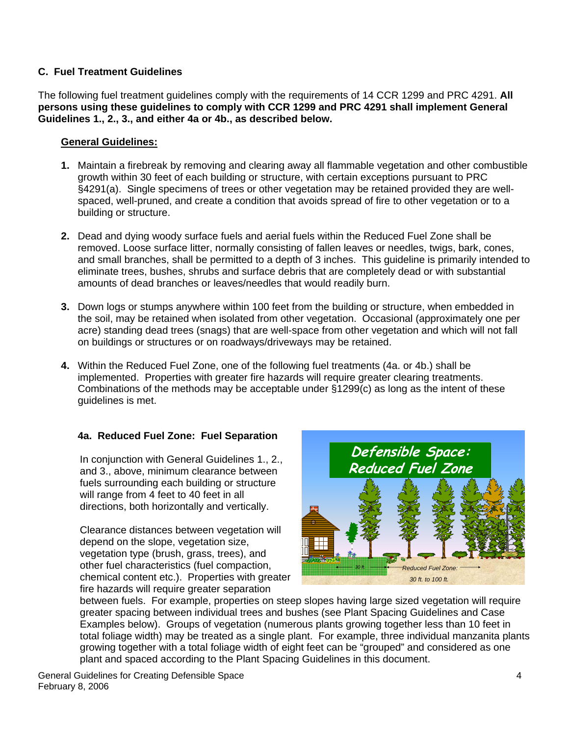#### **C. Fuel Treatment Guidelines**

The following fuel treatment guidelines comply with the requirements of 14 CCR 1299 and PRC 4291. **All persons using these guidelines to comply with CCR 1299 and PRC 4291 shall implement General Guidelines 1., 2., 3., and either 4a or 4b., as described below.** 

#### **General Guidelines:**

- **1.** Maintain a firebreak by removing and clearing away all flammable vegetation and other combustible growth within 30 feet of each building or structure, with certain exceptions pursuant to PRC §4291(a). Single specimens of trees or other vegetation may be retained provided they are wellspaced, well-pruned, and create a condition that avoids spread of fire to other vegetation or to a building or structure.
- **2.** Dead and dying woody surface fuels and aerial fuels within the Reduced Fuel Zone shall be removed. Loose surface litter, normally consisting of fallen leaves or needles, twigs, bark, cones, and small branches, shall be permitted to a depth of 3 inches. This guideline is primarily intended to eliminate trees, bushes, shrubs and surface debris that are completely dead or with substantial amounts of dead branches or leaves/needles that would readily burn.
- **3.** Down logs or stumps anywhere within 100 feet from the building or structure, when embedded in the soil, may be retained when isolated from other vegetation. Occasional (approximately one per acre) standing dead trees (snags) that are well-space from other vegetation and which will not fall on buildings or structures or on roadways/driveways may be retained.
- **4.** Within the Reduced Fuel Zone, one of the following fuel treatments (4a. or 4b.) shall be implemented. Properties with greater fire hazards will require greater clearing treatments. Combinations of the methods may be acceptable under §1299(c) as long as the intent of these guidelines is met.

#### **4a. Reduced Fuel Zone: Fuel Separation**

 In conjunction with General Guidelines 1., 2., and 3., above, minimum clearance between fuels surrounding each building or structure will range from 4 feet to 40 feet in all directions, both horizontally and vertically.

Clearance distances between vegetation will depend on the slope, vegetation size, vegetation type (brush, grass, trees), and other fuel characteristics (fuel compaction, chemical content etc.). Properties with greater fire hazards will require greater separation



between fuels. For example, properties on steep slopes having large sized vegetation will require greater spacing between individual trees and bushes (see Plant Spacing Guidelines and Case Examples below). Groups of vegetation (numerous plants growing together less than 10 feet in total foliage width) may be treated as a single plant. For example, three individual manzanita plants growing together with a total foliage width of eight feet can be "grouped" and considered as one plant and spaced according to the Plant Spacing Guidelines in this document.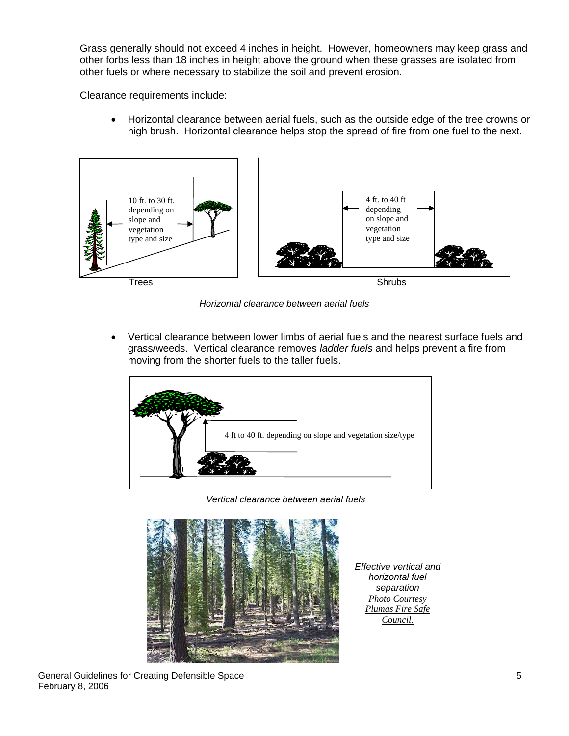Grass generally should not exceed 4 inches in height. However, homeowners may keep grass and other forbs less than 18 inches in height above the ground when these grasses are isolated from other fuels or where necessary to stabilize the soil and prevent erosion.

Clearance requirements include:

• Horizontal clearance between aerial fuels, such as the outside edge of the tree crowns or high brush. Horizontal clearance helps stop the spread of fire from one fuel to the next.



*Horizontal clearance between aerial fuels* 

• Vertical clearance between lower limbs of aerial fuels and the nearest surface fuels and grass/weeds. Vertical clearance removes *ladder fuels* and helps prevent a fire from moving from the shorter fuels to the taller fuels.



*Vertical clearance between aerial fuels*



*Effective vertical and horizontal fuel separation Photo Courtesy Plumas Fire Safe Council.*

General Guidelines for Creating Defensible Space 5 February 8, 2006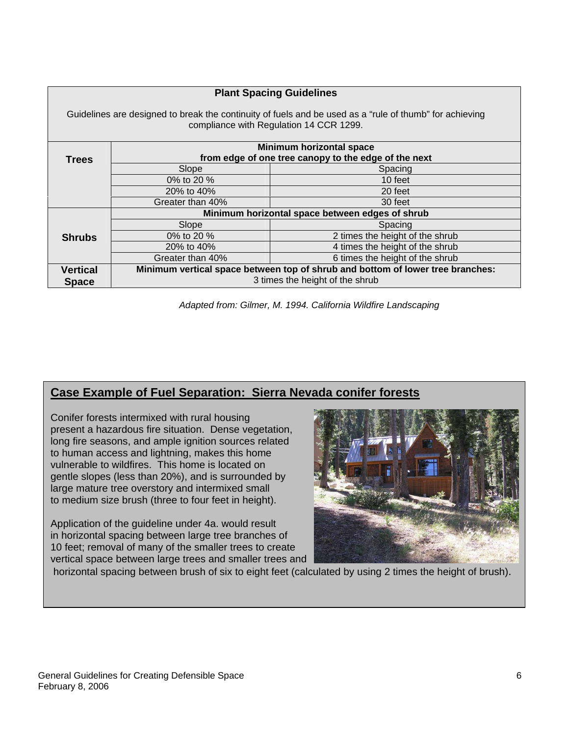| <b>Plant Spacing Guidelines</b>                                                                                                                    |                                                                                |                                 |  |  |  |
|----------------------------------------------------------------------------------------------------------------------------------------------------|--------------------------------------------------------------------------------|---------------------------------|--|--|--|
| Guidelines are designed to break the continuity of fuels and be used as a "rule of thumb" for achieving<br>compliance with Regulation 14 CCR 1299. |                                                                                |                                 |  |  |  |
|                                                                                                                                                    | Minimum horizontal space                                                       |                                 |  |  |  |
| <b>Trees</b>                                                                                                                                       | from edge of one tree canopy to the edge of the next                           |                                 |  |  |  |
|                                                                                                                                                    | Slope                                                                          | Spacing                         |  |  |  |
|                                                                                                                                                    | 0% to 20 %                                                                     | 10 feet                         |  |  |  |
|                                                                                                                                                    | 20% to 40%                                                                     | 20 feet                         |  |  |  |
|                                                                                                                                                    | Greater than 40%                                                               | 30 feet                         |  |  |  |
|                                                                                                                                                    | Minimum horizontal space between edges of shrub                                |                                 |  |  |  |
|                                                                                                                                                    | Slope                                                                          | Spacing                         |  |  |  |
| <b>Shrubs</b>                                                                                                                                      | 0% to 20 %                                                                     | 2 times the height of the shrub |  |  |  |
|                                                                                                                                                    | 20% to 40%                                                                     | 4 times the height of the shrub |  |  |  |
|                                                                                                                                                    | Greater than 40%                                                               | 6 times the height of the shrub |  |  |  |
| <b>Vertical</b>                                                                                                                                    | Minimum vertical space between top of shrub and bottom of lower tree branches: |                                 |  |  |  |
| <b>Space</b>                                                                                                                                       | 3 times the height of the shrub                                                |                                 |  |  |  |

*Adapted from: Gilmer, M. 1994. California Wildfire Landscaping*

## **Case Example of Fuel Separation: Sierra Nevada conifer forests**

Conifer forests intermixed with rural housing present a hazardous fire situation. Dense vegetation, long fire seasons, and ample ignition sources related to human access and lightning, makes this home vulnerable to wildfires. This home is located on gentle slopes (less than 20%), and is surrounded by large mature tree overstory and intermixed small to medium size brush (three to four feet in height).

Application of the guideline under 4a. would result in horizontal spacing between large tree branches of 10 feet; removal of many of the smaller trees to create vertical space between large trees and smaller trees and



horizontal spacing between brush of six to eight feet (calculated by using 2 times the height of brush).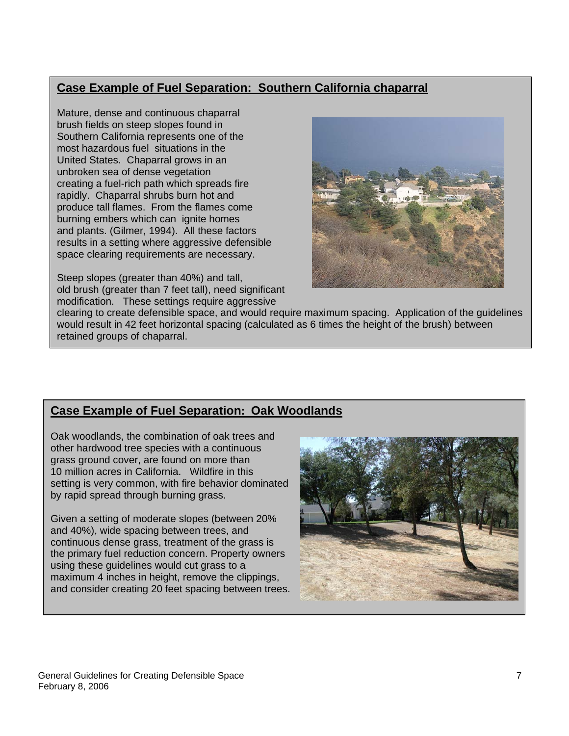# **Case Example of Fuel Separation: Southern California chaparral**

Mature, dense and continuous chaparral brush fields on steep slopes found in Southern California represents one of the most hazardous fuel situations in the United States. Chaparral grows in an unbroken sea of dense vegetation creating a fuel-rich path which spreads fire rapidly. Chaparral shrubs burn hot and produce tall flames. From the flames come burning embers which can ignite homes and plants. (Gilmer, 1994). All these factors results in a setting where aggressive defensible space clearing requirements are necessary.

Steep slopes (greater than 40%) and tall, old brush (greater than 7 feet tall), need significant modification. These settings require aggressive



clearing to create defensible space, and would require maximum spacing. Application of the guidelines would result in 42 feet horizontal spacing (calculated as 6 times the height of the brush) between retained groups of chaparral.

## **Case Example of Fuel Separation: Oak Woodlands**

Oak woodlands, the combination of oak trees and other hardwood tree species with a continuous grass ground cover, are found on more than 10 million acres in California. Wildfire in this setting is very common, with fire behavior dominated by rapid spread through burning grass.

Given a setting of moderate slopes (between 20% and 40%), wide spacing between trees, and continuous dense grass, treatment of the grass is the primary fuel reduction concern. Property owners using these guidelines would cut grass to a maximum 4 inches in height, remove the clippings, and consider creating 20 feet spacing between trees.